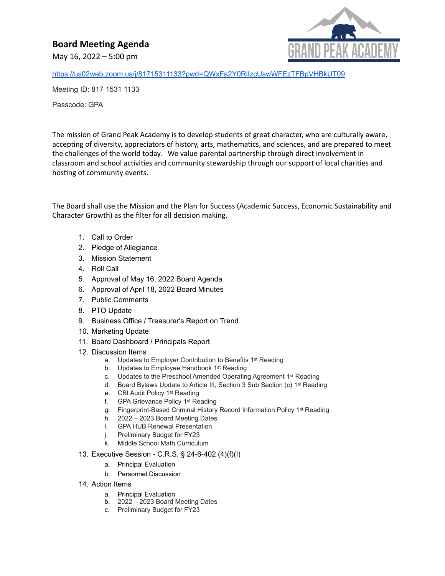## **Board Meeting Agenda**

May 16, 2022 – 5:00 pm



<https://us02web.zoom.us/j/81715311133?pwd=QWxFa2Y0RlIzcUswWFEzTFBpVHBkUT09>

Meeting ID: 817 1531 1133

Passcode: GPA

The mission of Grand Peak Academy is to develop students of great character, who are culturally aware, accepting of diversity, appreciators of history, arts, mathematics, and sciences, and are prepared to meet the challenges of the world today. We value parental partnership through direct involvement in classroom and school activities and community stewardship through our support of local charities and hosting of community events.

The Board shall use the Mission and the Plan for Success (Academic Success, Economic Sustainability and Character Growth) as the filter for all decision making.

- 1. Call to Order
- 2. Pledge of Allegiance
- 3. Mission Statement
- 4. Roll Call
- 5. Approval of May 16, 2022 Board Agenda
- 6. Approval of April 18, 2022 Board Minutes
- 7. Public Comments
- 8. PTO Update
- 9. Business Office / Treasurer's Report on Trend
- 10. Marketing Update
- 11. Board Dashboard / Principals Report
- 12. Discussion Items
	- a. Updates to Employer Contribution to Benefits 1<sup>st</sup> Reading
	- b. Updates to Employee Handbook 1<sup>st</sup> Reading
	- c. Updates to the Preschool Amended Operating Agreement 1st Reading
	- d. Board Bylaws Update to Article III, Section 3 Sub Section (c) 1st Reading
	- e. CBI Audit Policy 1st Reading
	- f. GPA Grievance Policy 1st Reading
	- g. Fingerprint-Based Criminal History Record Information Policy 1st Reading
	- h. 2022 2023 Board Meeting Dates
	- i. GPA HUB Renewal Presentation
	- j. Preliminary Budget for FY23
	- k. Middle School Math Curriculum
- 13. Executive Session C.R.S. § 24-6-402 (4)(f)(I)
	- a. Principal Evaluation
	- b. Personnel Discussion
- 14. Action Items
	- a. Principal Evaluation
	- b. 2022 2023 Board Meeting Dates
	- c. Preliminary Budget for FY23